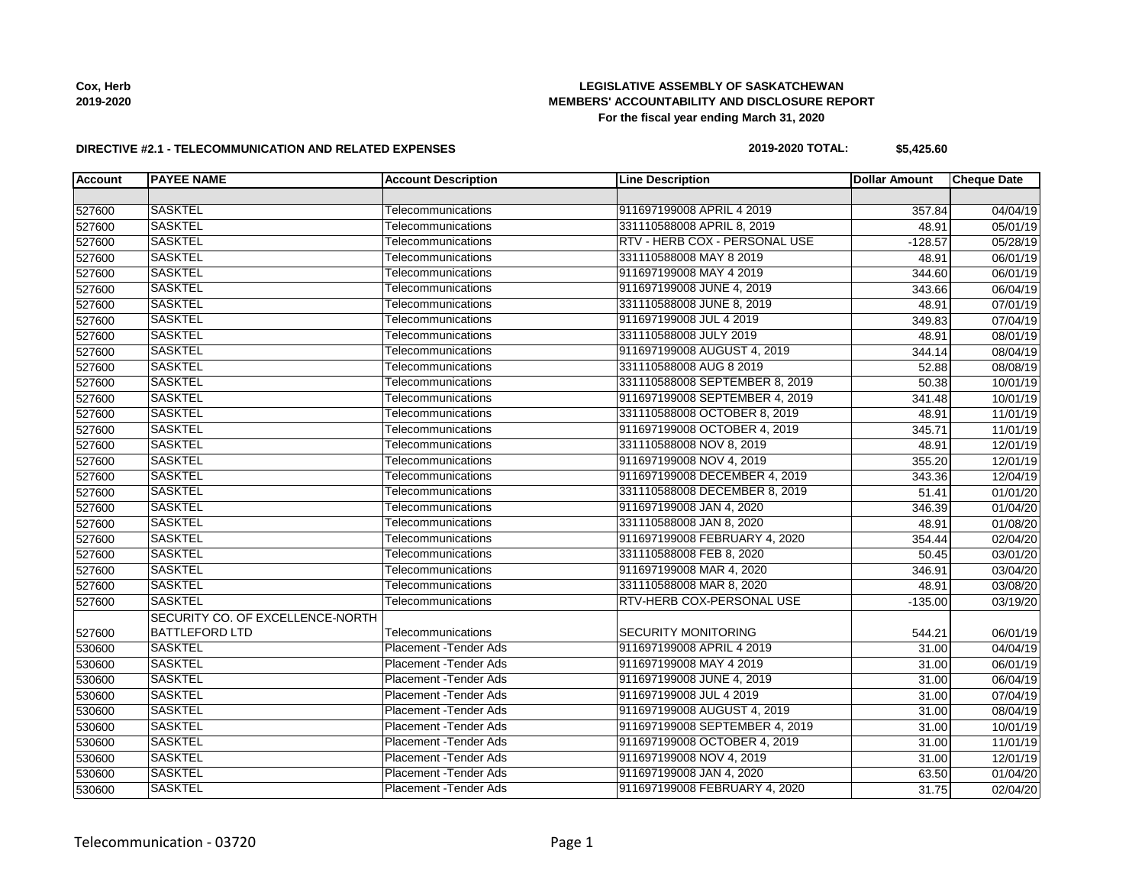### **LEGISLATIVE ASSEMBLY OF SASKATCHEWAN MEMBERS' ACCOUNTABILITY AND DISCLOSURE REPORT For the fiscal year ending March 31, 2020**

#### **DIRECTIVE #2.1 - TELECOMMUNICATION AND RELATED EXPENSES**

### **2019-2020 TOTAL: \$5,425.60**

| <b>Account</b> | <b>PAYEE NAME</b>                | <b>Account Description</b>    | <b>Line Description</b>        | <b>Dollar Amount</b> | <b>Cheque Date</b> |
|----------------|----------------------------------|-------------------------------|--------------------------------|----------------------|--------------------|
|                |                                  |                               |                                |                      |                    |
| 527600         | <b>SASKTEL</b>                   | Telecommunications            | 911697199008 APRIL 4 2019      | 357.84               | 04/04/19           |
| 527600         | <b>SASKTEL</b>                   | Telecommunications            | 331110588008 APRIL 8, 2019     | 48.91                | 05/01/19           |
| 527600         | <b>SASKTEL</b>                   | Telecommunications            | RTV - HERB COX - PERSONAL USE  | $-128.57$            | 05/28/19           |
| 527600         | <b>SASKTEL</b>                   | Telecommunications            | 331110588008 MAY 8 2019        | 48.91                | 06/01/19           |
| 527600         | <b>SASKTEL</b>                   | Telecommunications            | 911697199008 MAY 4 2019        | 344.60               | 06/01/19           |
| 527600         | <b>SASKTEL</b>                   | Telecommunications            | 911697199008 JUNE 4, 2019      | 343.66               | 06/04/19           |
| 527600         | <b>SASKTEL</b>                   | Telecommunications            | 331110588008 JUNE 8, 2019      | 48.91                | 07/01/19           |
| 527600         | <b>SASKTEL</b>                   | Telecommunications            | 911697199008 JUL 4 2019        | 349.83               | 07/04/19           |
| 527600         | <b>SASKTEL</b>                   | Telecommunications            | 331110588008 JULY 2019         | 48.91                | 08/01/19           |
| 527600         | <b>SASKTEL</b>                   | Telecommunications            | 911697199008 AUGUST 4, 2019    | 344.14               | 08/04/19           |
| 527600         | <b>SASKTEL</b>                   | Telecommunications            | 331110588008 AUG 8 2019        | 52.88                | 08/08/19           |
| 527600         | <b>SASKTEL</b>                   | Telecommunications            | 331110588008 SEPTEMBER 8, 2019 | 50.38                | 10/01/19           |
| 527600         | <b>SASKTEL</b>                   | Telecommunications            | 911697199008 SEPTEMBER 4, 2019 | 341.48               | 10/01/19           |
| 527600         | <b>SASKTEL</b>                   | Telecommunications            | 331110588008 OCTOBER 8, 2019   | 48.91                | 11/01/19           |
| 527600         | <b>SASKTEL</b>                   | Telecommunications            | 911697199008 OCTOBER 4, 2019   | 345.71               | 11/01/19           |
| 527600         | <b>SASKTEL</b>                   | Telecommunications            | 331110588008 NOV 8, 2019       | 48.91                | 12/01/19           |
| 527600         | <b>SASKTEL</b>                   | Telecommunications            | 911697199008 NOV 4, 2019       | 355.20               | 12/01/19           |
| 527600         | <b>SASKTEL</b>                   | Telecommunications            | 911697199008 DECEMBER 4, 2019  | 343.36               | 12/04/19           |
| 527600         | <b>SASKTEL</b>                   | Telecommunications            | 331110588008 DECEMBER 8, 2019  | 51.41                | 01/01/20           |
| 527600         | <b>SASKTEL</b>                   | Telecommunications            | 911697199008 JAN 4, 2020       | 346.39               | 01/04/20           |
| 527600         | <b>SASKTEL</b>                   | Telecommunications            | 331110588008 JAN 8, 2020       | 48.91                | 01/08/20           |
| 527600         | <b>SASKTEL</b>                   | Telecommunications            | 911697199008 FEBRUARY 4, 2020  | 354.44               | 02/04/20           |
| 527600         | <b>SASKTEL</b>                   | Telecommunications            | 331110588008 FEB 8, 2020       | 50.45                | 03/01/20           |
| 527600         | <b>SASKTEL</b>                   | Telecommunications            | 911697199008 MAR 4, 2020       | 346.91               | 03/04/20           |
| 527600         | <b>SASKTEL</b>                   | Telecommunications            | 331110588008 MAR 8, 2020       | 48.91                | 03/08/20           |
| 527600         | <b>SASKTEL</b>                   | Telecommunications            | RTV-HERB COX-PERSONAL USE      | $-135.00$            | 03/19/20           |
|                | SECURITY CO. OF EXCELLENCE-NORTH |                               |                                |                      |                    |
| 527600         | <b>BATTLEFORD LTD</b>            | Telecommunications            | <b>SECURITY MONITORING</b>     | 544.21               | 06/01/19           |
| 530600         | <b>SASKTEL</b>                   | Placement - Tender Ads        | 911697199008 APRIL 4 2019      | 31.00                | 04/04/19           |
| 530600         | <b>SASKTEL</b>                   | <b>Placement - Tender Ads</b> | 911697199008 MAY 4 2019        | 31.00                | 06/01/19           |
| 530600         | <b>SASKTEL</b>                   | Placement - Tender Ads        | 911697199008 JUNE 4, 2019      | 31.00                | 06/04/19           |
| 530600         | <b>SASKTEL</b>                   | <b>Placement - Tender Ads</b> | 911697199008 JUL 4 2019        | 31.00                | 07/04/19           |
| 530600         | <b>SASKTEL</b>                   | <b>Placement - Tender Ads</b> | 911697199008 AUGUST 4, 2019    | 31.00                | 08/04/19           |
| 530600         | <b>SASKTEL</b>                   | Placement - Tender Ads        | 911697199008 SEPTEMBER 4, 2019 | 31.00                | 10/01/19           |
| 530600         | <b>SASKTEL</b>                   | Placement - Tender Ads        | 911697199008 OCTOBER 4, 2019   | 31.00                | 11/01/19           |
| 530600         | <b>SASKTEL</b>                   | Placement - Tender Ads        | 911697199008 NOV 4, 2019       | 31.00                | 12/01/19           |
| 530600         | <b>SASKTEL</b>                   | Placement - Tender Ads        | 911697199008 JAN 4, 2020       | 63.50                | 01/04/20           |
| 530600         | <b>SASKTEL</b>                   | Placement - Tender Ads        | 911697199008 FEBRUARY 4, 2020  | 31.75                | 02/04/20           |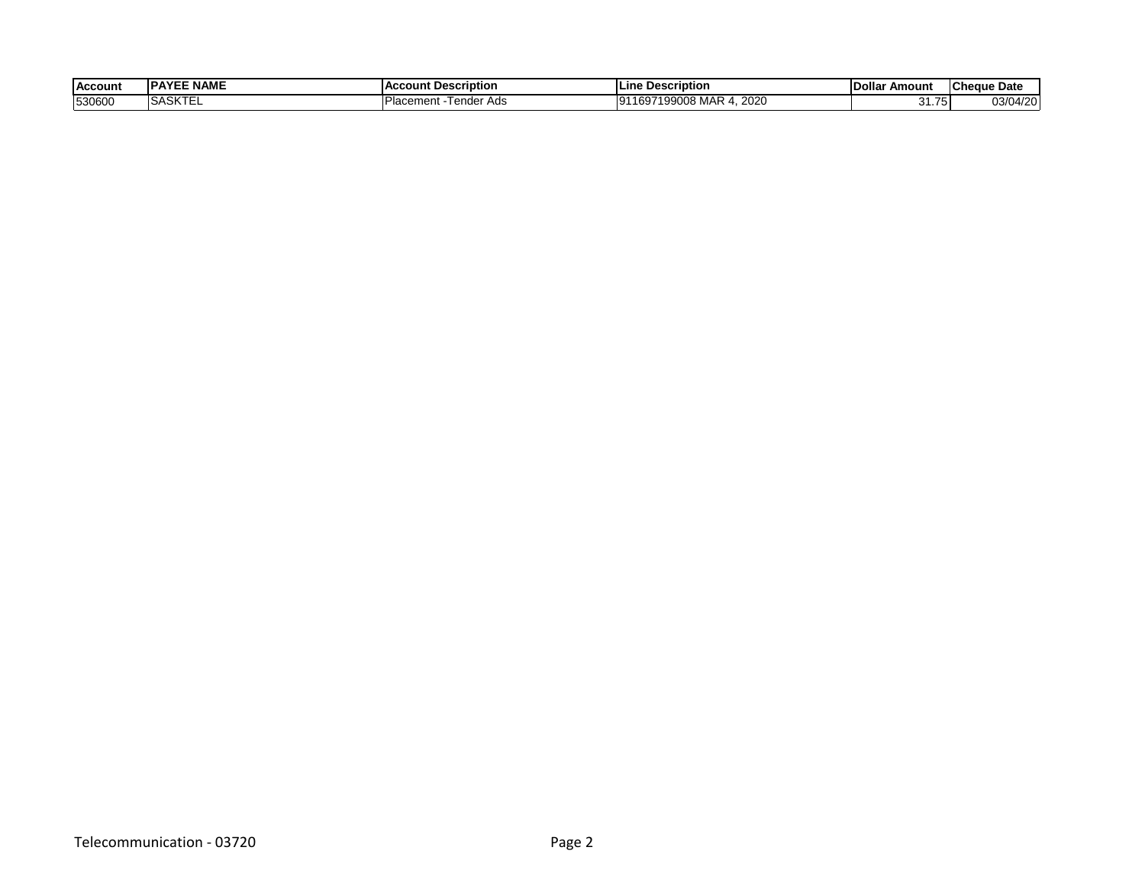| <b>Account</b> | <b>NAME</b><br>י בשו | ccount Description.<br>$\mathbf{A}$ $\mathbf{A}$ | <b>ILine</b><br><b>Description</b>                                         | <b>Dolla</b><br>Amount | <b>ICheque Date</b> |
|----------------|----------------------|--------------------------------------------------|----------------------------------------------------------------------------|------------------------|---------------------|
| 530600         | 1.77<br>ISASKIEI     | Ads<br>ender<br>Placement                        | 2020<br>ח∩םם ו<br>$\sim$<br>$\sim$<br>าผน<br><b>IVIA</b><br><br>ສສບບດ<br>w |                        | 03/04/20<br>120     |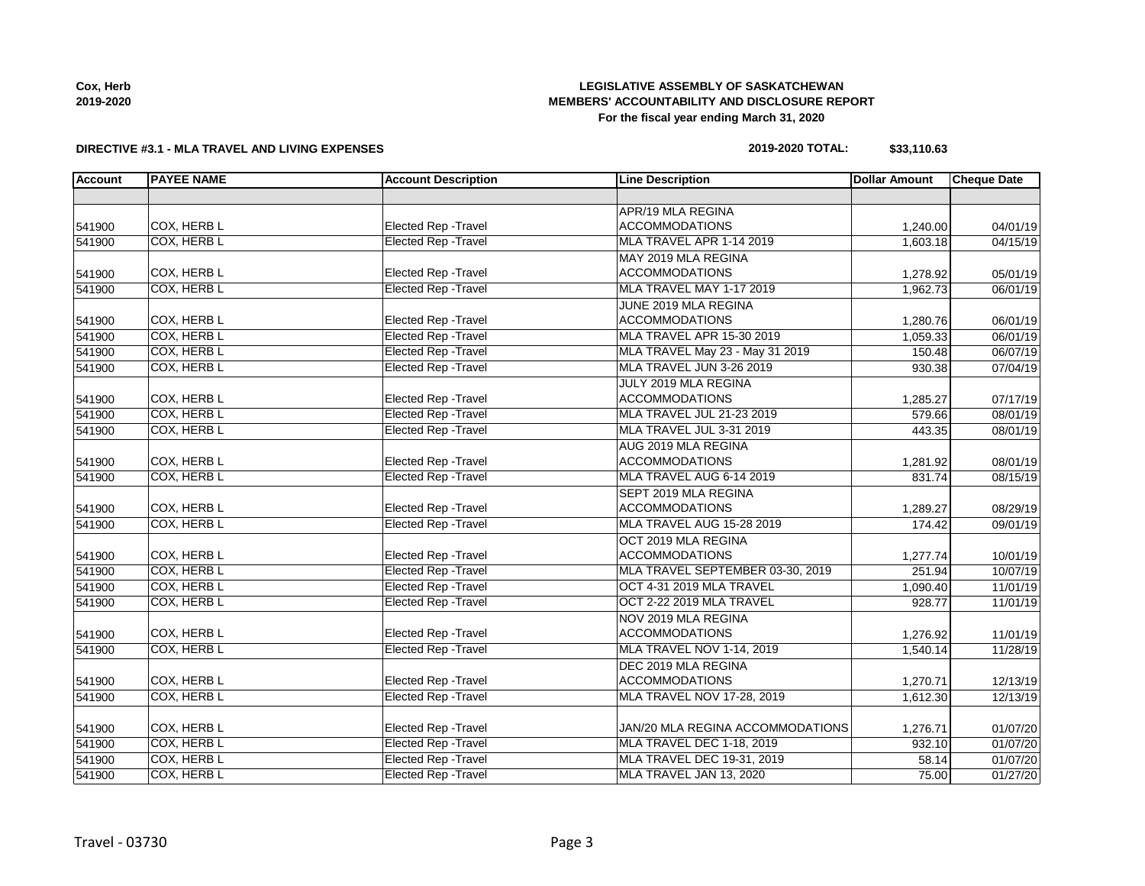| CUX, NEI D |  |
|------------|--|
| 2019-2020  |  |

## **LEGISLATIVE ASSEMBLY OF SASKATCHEWAN MEMBERS' ACCOUNTABILITY AND DISCLOSURE REPORT For the fiscal year ending March 31, 2020**

#### **DIRECTIVE #3.1 - MLA TRAVEL AND LIVING EXPENSES**

| 2019-2020 TOTAL: | \$33,110.63 |
|------------------|-------------|
|------------------|-------------|

| <b>Account</b> | <b>PAYEE NAME</b>  | <b>Account Description</b>  | <b>Line Description</b>          | <b>Dollar Amount</b> | <b>Cheque Date</b> |
|----------------|--------------------|-----------------------------|----------------------------------|----------------------|--------------------|
|                |                    |                             |                                  |                      |                    |
|                |                    |                             | APR/19 MLA REGINA                |                      |                    |
| 541900         | COX, HERB L        | Elected Rep - Travel        | <b>ACCOMMODATIONS</b>            | 1,240.00             | 04/01/19           |
| 541900         | COX, HERB L        | <b>Elected Rep - Travel</b> | MLA TRAVEL APR 1-14 2019         | 1,603.18             | 04/15/19           |
|                |                    |                             | MAY 2019 MLA REGINA              |                      |                    |
| 541900         | COX, HERB L        | Elected Rep - Travel        | <b>ACCOMMODATIONS</b>            | 1,278.92             | 05/01/19           |
| 541900         | COX, HERB L        | <b>Elected Rep - Travel</b> | MLA TRAVEL MAY 1-17 2019         | 1,962.73             | 06/01/19           |
|                |                    |                             | JUNE 2019 MLA REGINA             |                      |                    |
| 541900         | COX, HERB L        | Elected Rep - Travel        | <b>ACCOMMODATIONS</b>            | 1,280.76             | 06/01/19           |
| 541900         | COX, HERB L        | <b>Elected Rep - Travel</b> | MLA TRAVEL APR 15-30 2019        | 1,059.33             | 06/01/19           |
| 541900         | COX, HERB L        | <b>Elected Rep - Travel</b> | MLA TRAVEL May 23 - May 31 2019  | 150.48               | 06/07/19           |
| 541900         | COX, HERB L        | <b>Elected Rep - Travel</b> | MLA TRAVEL JUN 3-26 2019         | 930.38               | 07/04/19           |
|                |                    |                             | JULY 2019 MLA REGINA             |                      |                    |
| 541900         | COX, HERB L        | Elected Rep - Travel        | <b>ACCOMMODATIONS</b>            | 1,285.27             | 07/17/19           |
| 541900         | <b>COX, HERB L</b> | <b>Elected Rep - Travel</b> | MLA TRAVEL JUL 21-23 2019        | 579.66               | 08/01/19           |
| 541900         | COX, HERB L        | <b>Elected Rep - Travel</b> | MLA TRAVEL JUL 3-31 2019         | 443.35               | 08/01/19           |
|                |                    |                             | AUG 2019 MLA REGINA              |                      |                    |
| 541900         | COX, HERB L        | Elected Rep - Travel        | <b>ACCOMMODATIONS</b>            | 1,281.92             | 08/01/19           |
| 541900         | COX, HERB L        | <b>Elected Rep - Travel</b> | MLA TRAVEL AUG 6-14 2019         | 831.74               | 08/15/19           |
|                |                    |                             | SEPT 2019 MLA REGINA             |                      |                    |
| 541900         | COX, HERB L        | <b>Elected Rep - Travel</b> | <b>ACCOMMODATIONS</b>            | 1,289.27             | 08/29/19           |
| 541900         | COX, HERB L        | <b>Elected Rep - Travel</b> | MLA TRAVEL AUG 15-28 2019        | 174.42               | 09/01/19           |
|                |                    |                             | OCT 2019 MLA REGINA              |                      |                    |
| 541900         | COX, HERB L        | <b>Elected Rep - Travel</b> | <b>ACCOMMODATIONS</b>            | 1,277.74             | 10/01/19           |
| 541900         | COX, HERB L        | <b>Elected Rep - Travel</b> | MLA TRAVEL SEPTEMBER 03-30, 2019 | 251.94               | 10/07/19           |
| 541900         | COX, HERB L        | <b>Elected Rep - Travel</b> | OCT 4-31 2019 MLA TRAVEL         | 1,090.40             | 11/01/19           |
| 541900         | COX, HERB L        | <b>Elected Rep - Travel</b> | OCT 2-22 2019 MLA TRAVEL         | 928.77               | 11/01/19           |
|                |                    |                             | NOV 2019 MLA REGINA              |                      |                    |
| 541900         | COX, HERB L        | Elected Rep - Travel        | <b>ACCOMMODATIONS</b>            | 1,276.92             | 11/01/19           |
| 541900         | COX, HERB L        | <b>Elected Rep - Travel</b> | MLA TRAVEL NOV 1-14, 2019        | 1,540.14             | 11/28/19           |
|                |                    |                             | DEC 2019 MLA REGINA              |                      |                    |
| 541900         | COX, HERB L        | Elected Rep - Travel        | <b>ACCOMMODATIONS</b>            | 1,270.71             | 12/13/19           |
| 541900         | COX, HERB L        | <b>Elected Rep - Travel</b> | MLA TRAVEL NOV 17-28, 2019       | 1,612.30             | 12/13/19           |
|                |                    |                             |                                  |                      |                    |
| 541900         | COX, HERB L        | Elected Rep - Travel        | JAN/20 MLA REGINA ACCOMMODATIONS | 1,276.71             | 01/07/20           |
| 541900         | COX, HERB L        | Elected Rep - Travel        | MLA TRAVEL DEC 1-18, 2019        | 932.10               | 01/07/20           |
| 541900         | COX, HERB L        | <b>Elected Rep - Travel</b> | MLA TRAVEL DEC 19-31, 2019       | 58.14                | 01/07/20           |
| 541900         | COX, HERB L        | <b>Elected Rep - Travel</b> | MLA TRAVEL JAN 13, 2020          | 75.00                | 01/27/20           |

**Cox, Herb**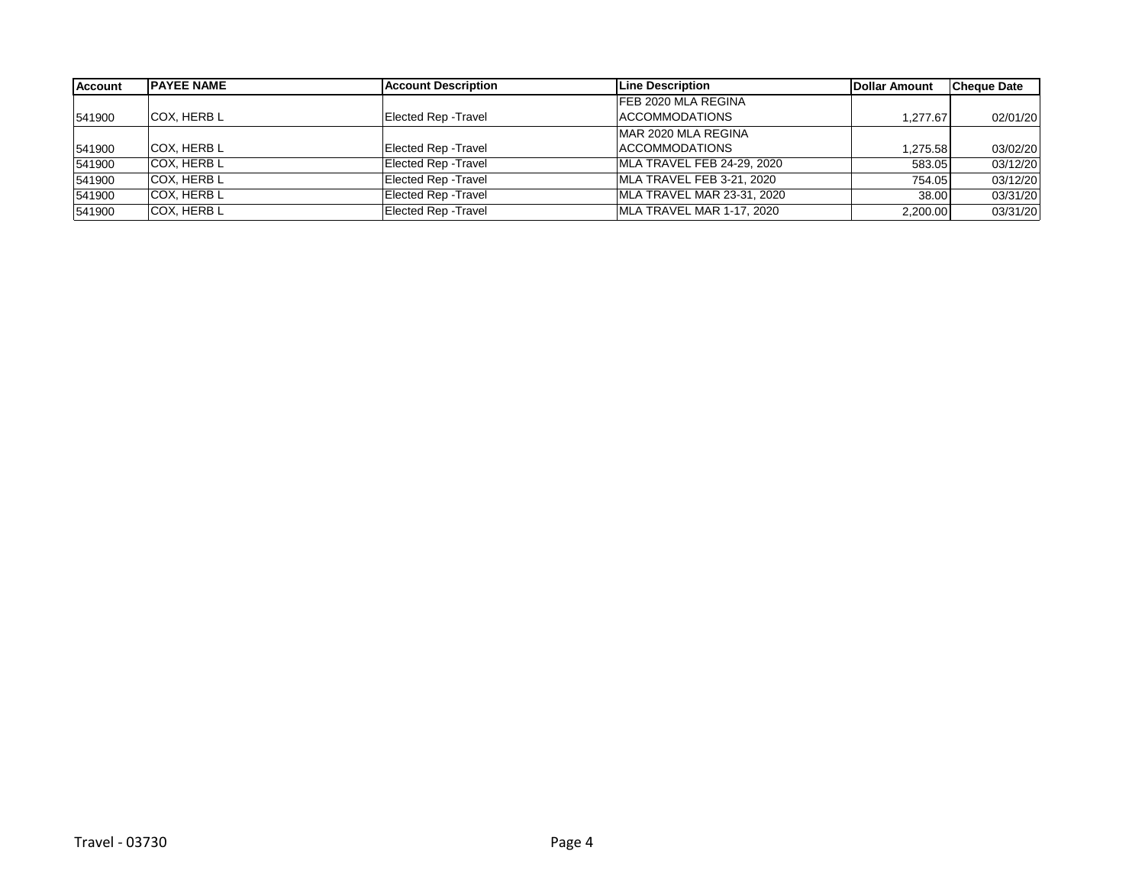| Account | <b>IPAYEE NAME</b> | <b>Account Description</b>  | <b>Line Description</b>    | Dollar Amount | <b>Cheque Date</b> |
|---------|--------------------|-----------------------------|----------------------------|---------------|--------------------|
|         |                    |                             | FEB 2020 MLA REGINA        |               |                    |
| 541900  | COX, HERB L        | <b>Elected Rep - Travel</b> | <b>IACCOMMODATIONS</b>     | 1.277.67      | 02/01/20           |
|         |                    |                             | MAR 2020 MLA REGINA        |               |                    |
| 541900  | ICOX. HERB L       | Elected Rep - Travel        | <b>IACCOMMODATIONS</b>     | 275.58. ا     | 03/02/20           |
| 541900  | <b>COX. HERB L</b> | Elected Rep - Travel        | MLA TRAVEL FEB 24-29, 2020 | 583.05        | 03/12/20           |
| 541900  | COX, HERB L        | Elected Rep - Travel        | MLA TRAVEL FEB 3-21, 2020  | 754.05        | 03/12/20           |
| 541900  | COX, HERB L        | <b>Elected Rep - Travel</b> | MLA TRAVEL MAR 23-31, 2020 | 38.00         | 03/31/20           |
| 541900  | <b>COX. HERB L</b> | <b>Elected Rep - Travel</b> | MLA TRAVEL MAR 1-17, 2020  | 2,200.00      | 03/31/20           |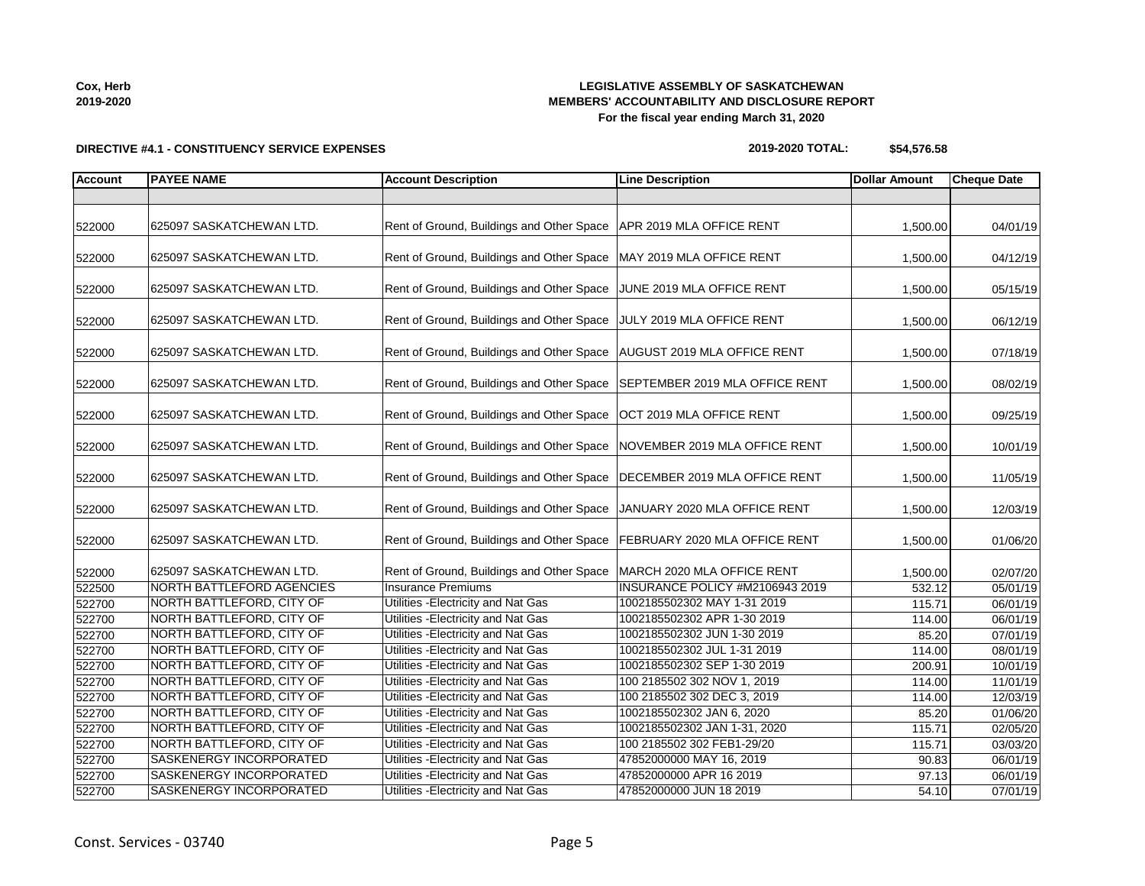**2019-2020**

#### **LEGISLATIVE ASSEMBLY OF SASKATCHEWAN MEMBERS' ACCOUNTABILITY AND DISCLOSURE REPORT For the fiscal year ending March 31, 2020**

# **DIRECTIVE #4.1 - CONSTITUENCY SERVICE EXPENSES**

| 522000 | 625097 SASKATCHEWAN LTD.         | Rent of Ground, Buildings and Other Space   APR 2019 MLA OFFICE RENT      |                                 | 1,500.00 | 04/01/19 |
|--------|----------------------------------|---------------------------------------------------------------------------|---------------------------------|----------|----------|
| 522000 | 625097 SASKATCHEWAN LTD.         | Rent of Ground, Buildings and Other Space   MAY 2019 MLA OFFICE RENT      |                                 | 1,500.00 | 04/12/19 |
| 522000 | 625097 SASKATCHEWAN LTD.         | Rent of Ground, Buildings and Other Space JJUNE 2019 MLA OFFICE RENT      |                                 | 1,500.00 | 05/15/19 |
| 522000 | 625097 SASKATCHEWAN LTD.         | Rent of Ground, Buildings and Other Space JULY 2019 MLA OFFICE RENT       |                                 | 1,500.00 | 06/12/19 |
| 522000 | 625097 SASKATCHEWAN LTD.         | Rent of Ground, Buildings and Other Space   AUGUST 2019 MLA OFFICE RENT   |                                 | 1,500.00 | 07/18/19 |
| 522000 | 625097 SASKATCHEWAN LTD.         | Rent of Ground, Buildings and Other Space SEPTEMBER 2019 MLA OFFICE RENT  |                                 | 1,500.00 | 08/02/19 |
| 522000 | 625097 SASKATCHEWAN LTD.         | Rent of Ground, Buildings and Other Space                                 | OCT 2019 MLA OFFICE RENT        | 1,500.00 | 09/25/19 |
| 522000 | 625097 SASKATCHEWAN LTD.         | Rent of Ground, Buildings and Other Space                                 | NOVEMBER 2019 MLA OFFICE RENT   | 1,500.00 | 10/01/19 |
| 522000 | 625097 SASKATCHEWAN LTD.         | Rent of Ground, Buildings and Other Space   DECEMBER 2019 MLA OFFICE RENT |                                 | 1,500.00 | 11/05/19 |
| 522000 | 625097 SASKATCHEWAN LTD.         | Rent of Ground, Buildings and Other Space                                 | JANUARY 2020 MLA OFFICE RENT    | 1,500.00 | 12/03/19 |
| 522000 | 625097 SASKATCHEWAN LTD.         | Rent of Ground, Buildings and Other Space   FEBRUARY 2020 MLA OFFICE RENT |                                 | 1,500.00 | 01/06/20 |
| 522000 | 625097 SASKATCHEWAN LTD.         | Rent of Ground, Buildings and Other Space                                 | MARCH 2020 MLA OFFICE RENT      | 1,500.00 | 02/07/20 |
| 522500 | <b>NORTH BATTLEFORD AGENCIES</b> | <b>Insurance Premiums</b>                                                 | INSURANCE POLICY #M2106943 2019 | 532.12   | 05/01/19 |
| 522700 | NORTH BATTLEFORD, CITY OF        | Utilities - Electricity and Nat Gas                                       | 1002185502302 MAY 1-31 2019     | 115.71   | 06/01/19 |
| 522700 | NORTH BATTLEFORD, CITY OF        | Utilities - Electricity and Nat Gas                                       | 1002185502302 APR 1-30 2019     | 114.00   | 06/01/19 |
| 522700 | NORTH BATTLEFORD, CITY OF        | Utilities - Electricity and Nat Gas                                       | 1002185502302 JUN 1-30 2019     | 85.20    | 07/01/19 |
| 522700 | NORTH BATTLEFORD, CITY OF        | Utilities - Electricity and Nat Gas                                       | 1002185502302 JUL 1-31 2019     | 114.00   | 08/01/19 |
| 522700 | NORTH BATTLEFORD, CITY OF        | Utilities - Electricity and Nat Gas                                       | 1002185502302 SEP 1-30 2019     | 200.91   | 10/01/19 |
| 522700 | NORTH BATTLEFORD, CITY OF        | Utilities - Electricity and Nat Gas                                       | 100 2185502 302 NOV 1, 2019     | 114.00   | 11/01/19 |
| 522700 | NORTH BATTLEFORD, CITY OF        | Utilities - Electricity and Nat Gas                                       | 100 2185502 302 DEC 3, 2019     | 114.00   | 12/03/19 |

**Account PAYEE NAME Account Description Line Description Dollar Amount Cheque Date**

**2019-2020 TOTAL: \$54,576.58**

**Cox, Herb**

 NORTH BATTLEFORD, CITY OF Utilities -Electricity and Nat Gas 1002185502302 JAN 6, 2020 85.20 01/06/20 NORTH BATTLEFORD, CITY OF Utilities -Electricity and Nat Gas 1002185502302 JAN 1-31, 2020 115.71 02/05/20

 SASKENERGY INCORPORATED Utilities -Electricity and Nat Gas 47852000000 MAY 16, 2019 90.83 06/01/19 SASKENERGY INCORPORATED Utilities -Electricity and Nat Gas 47852000000 APR 16 2019 97.13 06/01/19 SASKENERGY INCORPORATED Utilities -Electricity and Nat Gas 47852000000 JUN 18 2019 54.10 07/01/19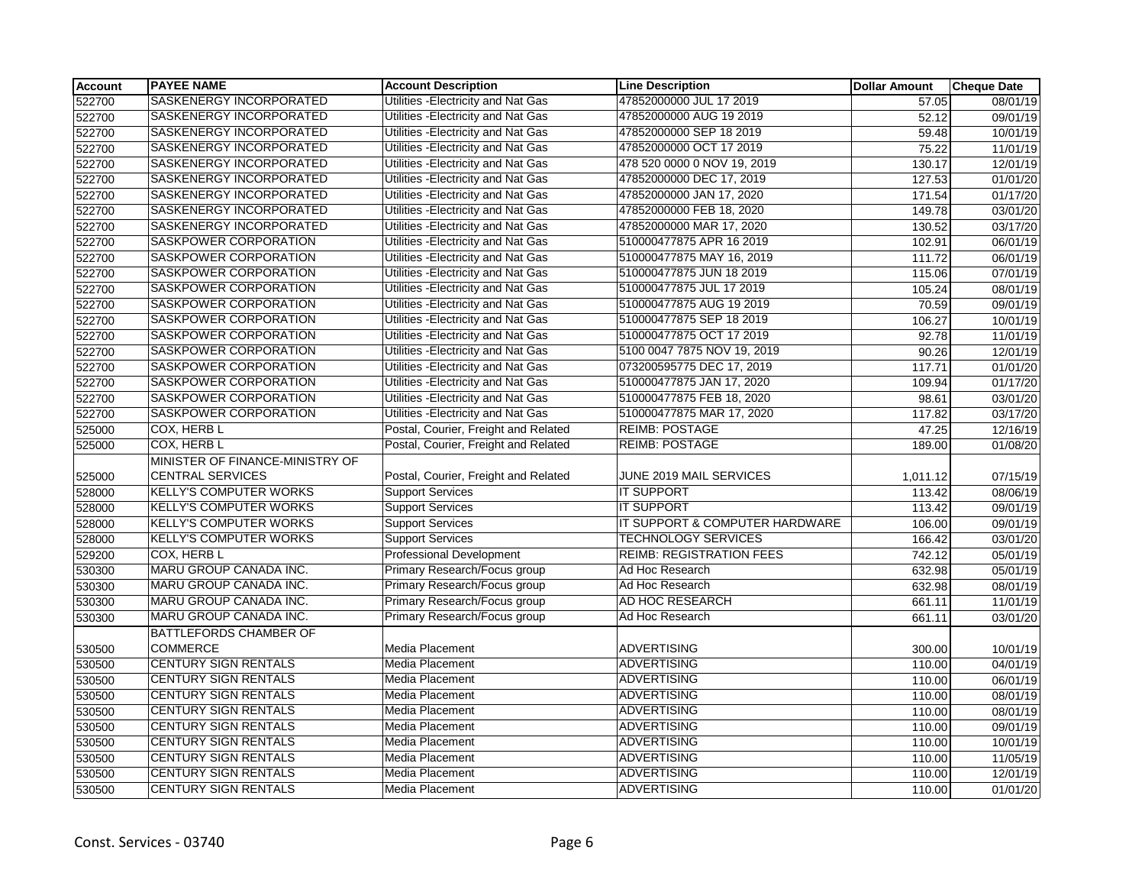| Account | <b>PAYEE NAME</b>               | <b>Account Description</b>           | <b>Line Description</b>         | <b>Dollar Amount</b> | <b>Cheque Date</b> |
|---------|---------------------------------|--------------------------------------|---------------------------------|----------------------|--------------------|
| 522700  | SASKENERGY INCORPORATED         | Utilities - Electricity and Nat Gas  | 47852000000 JUL 17 2019         | 57.05                | 08/01/19           |
| 522700  | <b>SASKENERGY INCORPORATED</b>  | Utilities - Electricity and Nat Gas  | 47852000000 AUG 19 2019         | 52.12                | 09/01/19           |
| 522700  | SASKENERGY INCORPORATED         | Utilities - Electricity and Nat Gas  | 47852000000 SEP 18 2019         | 59.48                | 10/01/19           |
| 522700  | SASKENERGY INCORPORATED         | Utilities - Electricity and Nat Gas  | 47852000000 OCT 17 2019         | 75.22                | 11/01/19           |
| 522700  | SASKENERGY INCORPORATED         | Utilities - Electricity and Nat Gas  | 478 520 0000 0 NOV 19, 2019     | 130.17               | 12/01/19           |
| 522700  | SASKENERGY INCORPORATED         | Utilities - Electricity and Nat Gas  | 47852000000 DEC 17, 2019        | 127.53               | 01/01/20           |
| 522700  | SASKENERGY INCORPORATED         | Utilities - Electricity and Nat Gas  | 47852000000 JAN 17, 2020        | 171.54               | 01/17/20           |
| 522700  | SASKENERGY INCORPORATED         | Utilities - Electricity and Nat Gas  | 47852000000 FEB 18, 2020        | 149.78               | 03/01/20           |
| 522700  | SASKENERGY INCORPORATED         | Utilities - Electricity and Nat Gas  | 47852000000 MAR 17, 2020        | 130.52               | 03/17/20           |
| 522700  | SASKPOWER CORPORATION           | Utilities - Electricity and Nat Gas  | 510000477875 APR 16 2019        | 102.91               | 06/01/19           |
| 522700  | SASKPOWER CORPORATION           | Utilities - Electricity and Nat Gas  | 510000477875 MAY 16, 2019       | 111.72               | 06/01/19           |
| 522700  | SASKPOWER CORPORATION           | Utilities - Electricity and Nat Gas  | 510000477875 JUN 18 2019        | 115.06               | 07/01/19           |
| 522700  | SASKPOWER CORPORATION           | Utilities - Electricity and Nat Gas  | 510000477875 JUL 17 2019        | 105.24               | 08/01/19           |
| 522700  | SASKPOWER CORPORATION           | Utilities - Electricity and Nat Gas  | 510000477875 AUG 19 2019        | 70.59                | 09/01/19           |
| 522700  | SASKPOWER CORPORATION           | Utilities - Electricity and Nat Gas  | 510000477875 SEP 18 2019        | 106.27               | 10/01/19           |
| 522700  | SASKPOWER CORPORATION           | Utilities - Electricity and Nat Gas  | 510000477875 OCT 17 2019        | 92.78                | 11/01/19           |
| 522700  | SASKPOWER CORPORATION           | Utilities - Electricity and Nat Gas  | 5100 0047 7875 NOV 19, 2019     | 90.26                | 12/01/19           |
| 522700  | <b>SASKPOWER CORPORATION</b>    | Utilities - Electricity and Nat Gas  | 073200595775 DEC 17, 2019       | 117.71               | 01/01/20           |
| 522700  | SASKPOWER CORPORATION           | Utilities - Electricity and Nat Gas  | 510000477875 JAN 17, 2020       | 109.94               | 01/17/20           |
| 522700  | SASKPOWER CORPORATION           | Utilities - Electricity and Nat Gas  | 510000477875 FEB 18, 2020       | 98.61                | 03/01/20           |
| 522700  | SASKPOWER CORPORATION           | Utilities - Electricity and Nat Gas  | 510000477875 MAR 17, 2020       | 117.82               | 03/17/20           |
| 525000  | COX, HERB L                     | Postal, Courier, Freight and Related | <b>REIMB: POSTAGE</b>           | 47.25                | 12/16/19           |
| 525000  | COX, HERB L                     | Postal, Courier, Freight and Related | <b>REIMB: POSTAGE</b>           | 189.00               | 01/08/20           |
|         | MINISTER OF FINANCE-MINISTRY OF |                                      |                                 |                      |                    |
| 525000  | <b>CENTRAL SERVICES</b>         | Postal, Courier, Freight and Related | JUNE 2019 MAIL SERVICES         | 1,011.12             | 07/15/19           |
| 528000  | <b>KELLY'S COMPUTER WORKS</b>   | <b>Support Services</b>              | <b>IT SUPPORT</b>               | 113.42               | 08/06/19           |
| 528000  | <b>KELLY'S COMPUTER WORKS</b>   | <b>Support Services</b>              | <b>IT SUPPORT</b>               | 113.42               | 09/01/19           |
| 528000  | <b>KELLY'S COMPUTER WORKS</b>   | <b>Support Services</b>              | IT SUPPORT & COMPUTER HARDWARE  | 106.00               | 09/01/19           |
| 528000  | <b>KELLY'S COMPUTER WORKS</b>   | <b>Support Services</b>              | <b>TECHNOLOGY SERVICES</b>      | 166.42               | 03/01/20           |
| 529200  | COX, HERB L                     | <b>Professional Development</b>      | <b>REIMB: REGISTRATION FEES</b> | 742.12               | 05/01/19           |
| 530300  | MARU GROUP CANADA INC.          | Primary Research/Focus group         | Ad Hoc Research                 | 632.98               | 05/01/19           |
| 530300  | MARU GROUP CANADA INC.          | Primary Research/Focus group         | Ad Hoc Research                 | 632.98               | 08/01/19           |
| 530300  | MARU GROUP CANADA INC.          | Primary Research/Focus group         | AD HOC RESEARCH                 | 661.11               | 11/01/19           |
| 530300  | <b>MARU GROUP CANADA INC.</b>   | Primary Research/Focus group         | Ad Hoc Research                 | 661.11               | 03/01/20           |
|         | BATTLEFORDS CHAMBER OF          |                                      |                                 |                      |                    |
| 530500  | <b>COMMERCE</b>                 | Media Placement                      | <b>ADVERTISING</b>              | 300.00               | 10/01/19           |
| 530500  | <b>CENTURY SIGN RENTALS</b>     | <b>Media Placement</b>               | <b>ADVERTISING</b>              | 110.00               | 04/01/19           |
| 530500  | <b>CENTURY SIGN RENTALS</b>     | <b>Media Placement</b>               | <b>ADVERTISING</b>              | 110.00               | 06/01/19           |
| 530500  | <b>CENTURY SIGN RENTALS</b>     | Media Placement                      | <b>ADVERTISING</b>              | 110.00               | 08/01/19           |
| 530500  | <b>CENTURY SIGN RENTALS</b>     | Media Placement                      | <b>ADVERTISING</b>              | 110.00               | 08/01/19           |
| 530500  | <b>CENTURY SIGN RENTALS</b>     | Media Placement                      | <b>ADVERTISING</b>              | 110.00               | 09/01/19           |
| 530500  | <b>CENTURY SIGN RENTALS</b>     | <b>Media Placement</b>               | <b>ADVERTISING</b>              | 110.00               | 10/01/19           |
| 530500  | <b>CENTURY SIGN RENTALS</b>     | Media Placement                      | <b>ADVERTISING</b>              | 110.00               | 11/05/19           |
| 530500  | CENTURY SIGN RENTALS            | Media Placement                      | <b>ADVERTISING</b>              | 110.00               | 12/01/19           |
| 530500  | <b>CENTURY SIGN RENTALS</b>     | Media Placement                      | <b>ADVERTISING</b>              | 110.00               | 01/01/20           |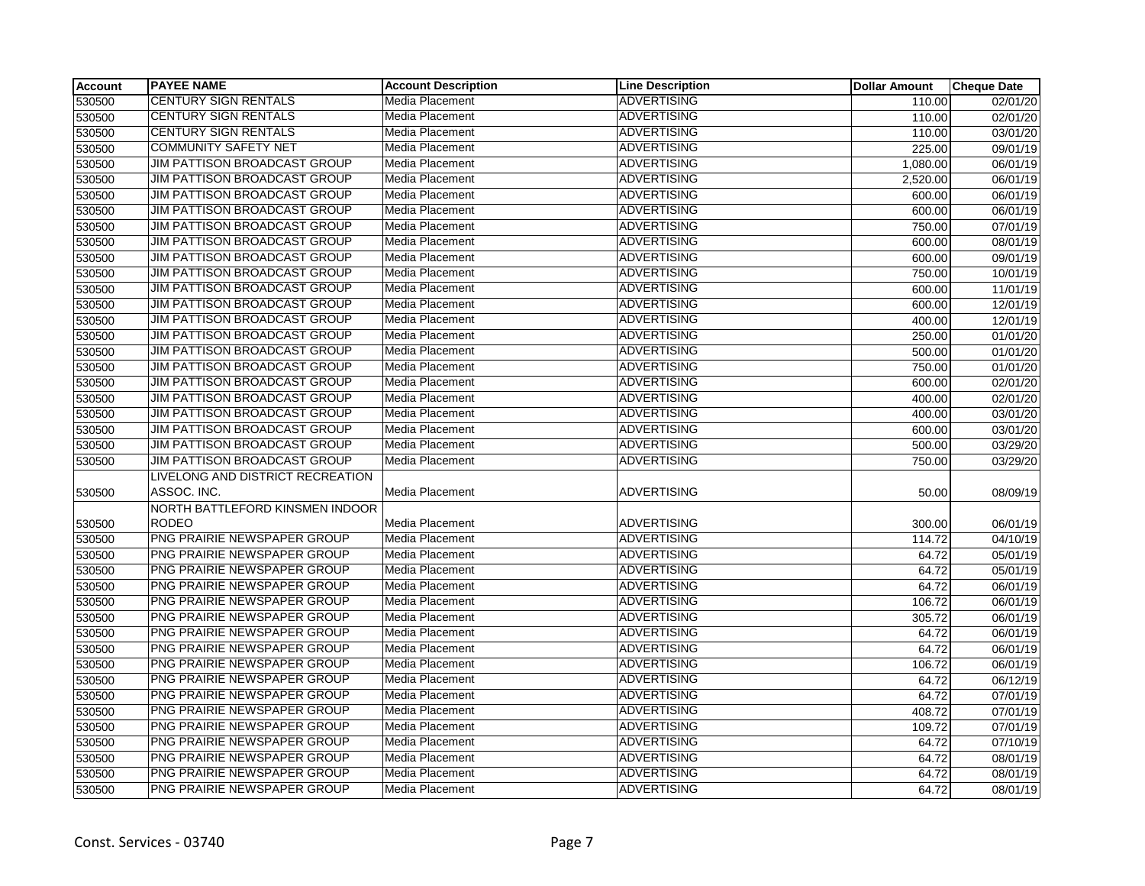| <b>Account</b> | <b>PAYEE NAME</b>                   | <b>Account Description</b> | <b>Line Description</b> | <b>Dollar Amount</b> | <b>Cheque Date</b>    |
|----------------|-------------------------------------|----------------------------|-------------------------|----------------------|-----------------------|
| 530500         | <b>CENTURY SIGN RENTALS</b>         | Media Placement            | <b>ADVERTISING</b>      | 110.00               | 02/01/20              |
| 530500         | CENTURY SIGN RENTALS                | Media Placement            | <b>ADVERTISING</b>      | 110.00               | 02/01/20              |
| 530500         | <b>CENTURY SIGN RENTALS</b>         | Media Placement            | <b>ADVERTISING</b>      | 110.00               | 03/01/20              |
| 530500         | <b>COMMUNITY SAFETY NET</b>         | <b>Media Placement</b>     | <b>ADVERTISING</b>      | 225.00               | 09/01/19              |
| 530500         | JIM PATTISON BROADCAST GROUP        | Media Placement            | <b>ADVERTISING</b>      | 1,080.00             | 06/01/19              |
| 530500         | JIM PATTISON BROADCAST GROUP        | Media Placement            | <b>ADVERTISING</b>      | 2,520.00             | 06/01/19              |
| 530500         | JIM PATTISON BROADCAST GROUP        | Media Placement            | <b>ADVERTISING</b>      | 600.00               | 06/01/19              |
| 530500         | JIM PATTISON BROADCAST GROUP        | Media Placement            | <b>ADVERTISING</b>      | 600.00               | 06/01/19              |
| 530500         | JIM PATTISON BROADCAST GROUP        | Media Placement            | <b>ADVERTISING</b>      | 750.00               | 07/01/19              |
| 530500         | JIM PATTISON BROADCAST GROUP        | Media Placement            | <b>ADVERTISING</b>      | 600.00               | 08/01/19              |
| 530500         | <b>JIM PATTISON BROADCAST GROUP</b> | Media Placement            | <b>ADVERTISING</b>      | 600.00               | 09/01/19              |
| 530500         | JIM PATTISON BROADCAST GROUP        | Media Placement            | <b>ADVERTISING</b>      | 750.00               | 10/01/19              |
| 530500         | JIM PATTISON BROADCAST GROUP        | <b>Media Placement</b>     | <b>ADVERTISING</b>      | 600.00               | 11/01/19              |
| 530500         | JIM PATTISON BROADCAST GROUP        | Media Placement            | <b>ADVERTISING</b>      | 600.00               | 12/01/19              |
| 530500         | JIM PATTISON BROADCAST GROUP        | Media Placement            | <b>ADVERTISING</b>      | 400.00               | 12/01/19              |
| 530500         | JIM PATTISON BROADCAST GROUP        | Media Placement            | <b>ADVERTISING</b>      | 250.00               | 01/01/20              |
| 530500         | JIM PATTISON BROADCAST GROUP        | Media Placement            | <b>ADVERTISING</b>      | 500.00               | 01/01/20              |
| 530500         | JIM PATTISON BROADCAST GROUP        | Media Placement            | <b>ADVERTISING</b>      | 750.00               | 01/01/20              |
| 530500         | JIM PATTISON BROADCAST GROUP        | Media Placement            | <b>ADVERTISING</b>      | 600.00               | 02/01/20              |
| 530500         | JIM PATTISON BROADCAST GROUP        | Media Placement            | <b>ADVERTISING</b>      | 400.00               | 02/01/20              |
| 530500         | JIM PATTISON BROADCAST GROUP        | Media Placement            | <b>ADVERTISING</b>      | 400.00               | 03/01/20              |
| 530500         | JIM PATTISON BROADCAST GROUP        | Media Placement            | <b>ADVERTISING</b>      | 600.00               | 03/01/20              |
| 530500         | <b>JIM PATTISON BROADCAST GROUP</b> | Media Placement            | <b>ADVERTISING</b>      | 500.00               | 03/29/20              |
| 530500         | <b>JIM PATTISON BROADCAST GROUP</b> | Media Placement            | <b>ADVERTISING</b>      | 750.00               | 03/29/20              |
|                | LIVELONG AND DISTRICT RECREATION    |                            |                         |                      |                       |
| 530500         | ASSOC. INC.                         | Media Placement            | <b>ADVERTISING</b>      | 50.00                | 08/09/19              |
|                | NORTH BATTLEFORD KINSMEN INDOOR     |                            |                         |                      |                       |
| 530500         | <b>RODEO</b>                        | <b>Media Placement</b>     | <b>ADVERTISING</b>      | 300.00               | 06/01/19              |
| 530500         | PNG PRAIRIE NEWSPAPER GROUP         | Media Placement            | <b>ADVERTISING</b>      | 114.72               | 04/10/19              |
| 530500         | PNG PRAIRIE NEWSPAPER GROUP         | Media Placement            | <b>ADVERTISING</b>      | 64.72                | 05/01/19              |
| 530500         | PNG PRAIRIE NEWSPAPER GROUP         | <b>Media Placement</b>     | <b>ADVERTISING</b>      | 64.72                | 05/01/19              |
| 530500         | PNG PRAIRIE NEWSPAPER GROUP         | Media Placement            | <b>ADVERTISING</b>      | 64.72                | 06/01/19              |
| 530500         | PNG PRAIRIE NEWSPAPER GROUP         | Media Placement            | <b>ADVERTISING</b>      | 106.72               | 06/01/19              |
| 530500         | PNG PRAIRIE NEWSPAPER GROUP         | Media Placement            | <b>ADVERTISING</b>      | 305.72               | 06/01/19              |
| 530500         | PNG PRAIRIE NEWSPAPER GROUP         | Media Placement            | <b>ADVERTISING</b>      | 64.72                | 06/01/19              |
| 530500         | PNG PRAIRIE NEWSPAPER GROUP         | Media Placement            | <b>ADVERTISING</b>      | 64.72                | 06/01/19              |
| 530500         | PNG PRAIRIE NEWSPAPER GROUP         | Media Placement            | <b>ADVERTISING</b>      | 106.72               | 06/01/19              |
| 530500         | PNG PRAIRIE NEWSPAPER GROUP         | Media Placement            | <b>ADVERTISING</b>      | 64.72                | 06/12/19              |
| 530500         | PNG PRAIRIE NEWSPAPER GROUP         | Media Placement            | <b>ADVERTISING</b>      | 64.72                | 07/01/19              |
| 530500         | PNG PRAIRIE NEWSPAPER GROUP         | Media Placement            | <b>ADVERTISING</b>      | 408.72               | $\overline{07}/01/19$ |
| 530500         | PNG PRAIRIE NEWSPAPER GROUP         | Media Placement            | <b>ADVERTISING</b>      | 109.72               | 07/01/19              |
| 530500         | PNG PRAIRIE NEWSPAPER GROUP         | Media Placement            | <b>ADVERTISING</b>      | 64.72                | 07/10/19              |
| 530500         | PNG PRAIRIE NEWSPAPER GROUP         | Media Placement            | <b>ADVERTISING</b>      | 64.72                | 08/01/19              |
| 530500         | PNG PRAIRIE NEWSPAPER GROUP         | Media Placement            | <b>ADVERTISING</b>      | 64.72                | 08/01/19              |
| 530500         | PNG PRAIRIE NEWSPAPER GROUP         | Media Placement            | <b>ADVERTISING</b>      | 64.72                | 08/01/19              |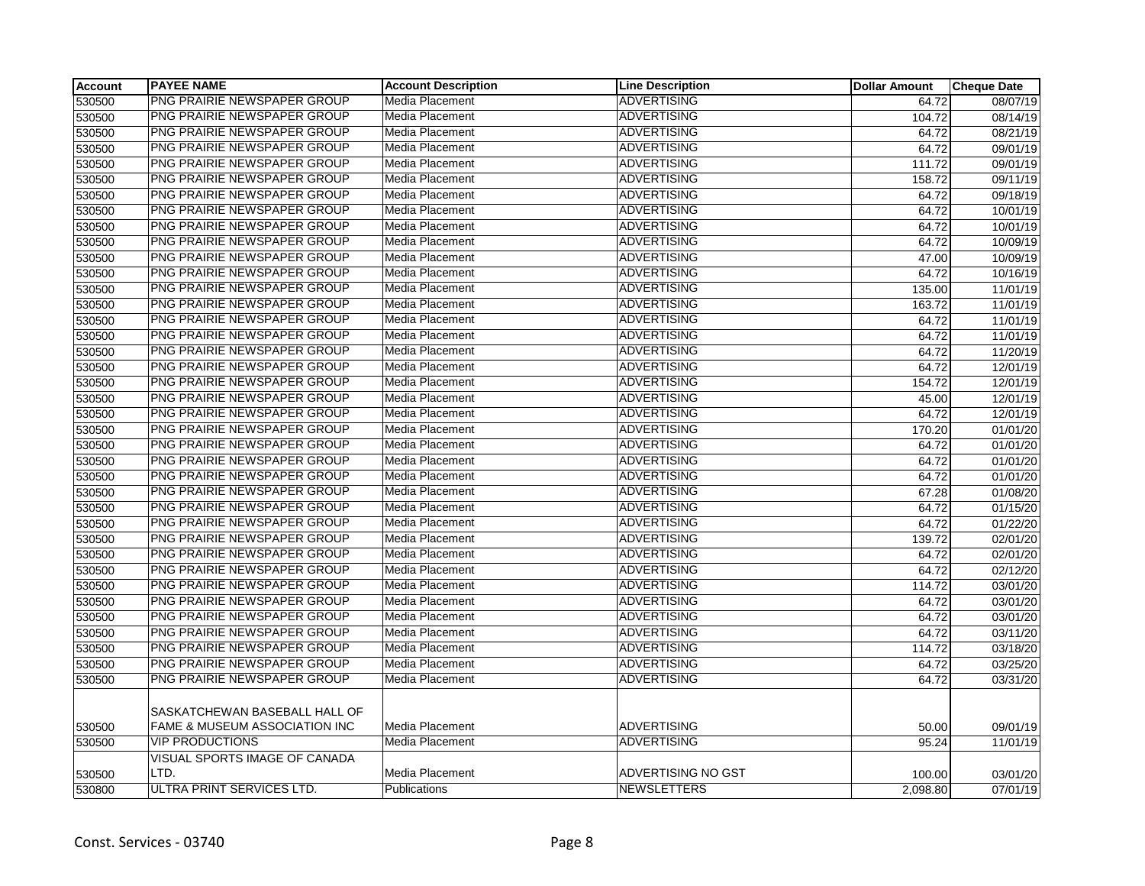| <b>Account</b> | <b>PAYEE NAME</b>                        | <b>Account Description</b> | <b>Line Description</b> | <b>Dollar Amount</b> | <b>Cheque Date</b> |
|----------------|------------------------------------------|----------------------------|-------------------------|----------------------|--------------------|
| 530500         | <b>PNG PRAIRIE NEWSPAPER GROUP</b>       | Media Placement            | <b>ADVERTISING</b>      | 64.72                | 08/07/19           |
| 530500         | PNG PRAIRIE NEWSPAPER GROUP              | Media Placement            | <b>ADVERTISING</b>      | 104.72               | 08/14/19           |
| 530500         | PNG PRAIRIE NEWSPAPER GROUP              | Media Placement            | <b>ADVERTISING</b>      | 64.72                | 08/21/19           |
| 530500         | PNG PRAIRIE NEWSPAPER GROUP              | Media Placement            | <b>ADVERTISING</b>      | 64.72                | 09/01/19           |
| 530500         | PNG PRAIRIE NEWSPAPER GROUP              | Media Placement            | <b>ADVERTISING</b>      | 111.72               | 09/01/19           |
| 530500         | PNG PRAIRIE NEWSPAPER GROUP              | Media Placement            | <b>ADVERTISING</b>      | 158.72               | 09/11/19           |
| 530500         | PNG PRAIRIE NEWSPAPER GROUP              | Media Placement            | <b>ADVERTISING</b>      | 64.72                | 09/18/19           |
| 530500         | PNG PRAIRIE NEWSPAPER GROUP              | Media Placement            | <b>ADVERTISING</b>      | 64.72                | 10/01/19           |
| 530500         | PNG PRAIRIE NEWSPAPER GROUP              | Media Placement            | <b>ADVERTISING</b>      | 64.72                | 10/01/19           |
| 530500         | PNG PRAIRIE NEWSPAPER GROUP              | Media Placement            | <b>ADVERTISING</b>      | 64.72                | 10/09/19           |
| 530500         | PNG PRAIRIE NEWSPAPER GROUP              | Media Placement            | <b>ADVERTISING</b>      | 47.00                | 10/09/19           |
| 530500         | PNG PRAIRIE NEWSPAPER GROUP              | Media Placement            | <b>ADVERTISING</b>      | 64.72                | 10/16/19           |
| 530500         | PNG PRAIRIE NEWSPAPER GROUP              | Media Placement            | <b>ADVERTISING</b>      | 135.00               | 11/01/19           |
| 530500         | PNG PRAIRIE NEWSPAPER GROUP              | Media Placement            | <b>ADVERTISING</b>      | 163.72               | 11/01/19           |
| 530500         | PNG PRAIRIE NEWSPAPER GROUP              | Media Placement            | <b>ADVERTISING</b>      | 64.72                | 11/01/19           |
| 530500         | PNG PRAIRIE NEWSPAPER GROUP              | Media Placement            | <b>ADVERTISING</b>      | 64.72                | 11/01/19           |
| 530500         | PNG PRAIRIE NEWSPAPER GROUP              | Media Placement            | <b>ADVERTISING</b>      | 64.72                | 11/20/19           |
| 530500         | PNG PRAIRIE NEWSPAPER GROUP              | Media Placement            | <b>ADVERTISING</b>      | 64.72                | 12/01/19           |
| 530500         | PNG PRAIRIE NEWSPAPER GROUP              | Media Placement            | <b>ADVERTISING</b>      | 154.72               | 12/01/19           |
| 530500         | PNG PRAIRIE NEWSPAPER GROUP              | Media Placement            | <b>ADVERTISING</b>      | 45.00                | 12/01/19           |
| 530500         | PNG PRAIRIE NEWSPAPER GROUP              | Media Placement            | <b>ADVERTISING</b>      | 64.72                | 12/01/19           |
| 530500         | PNG PRAIRIE NEWSPAPER GROUP              | Media Placement            | <b>ADVERTISING</b>      | 170.20               | 01/01/20           |
| 530500         | PNG PRAIRIE NEWSPAPER GROUP              | Media Placement            | <b>ADVERTISING</b>      | 64.72                | 01/01/20           |
| 530500         | PNG PRAIRIE NEWSPAPER GROUP              | Media Placement            | <b>ADVERTISING</b>      | 64.72                | 01/01/20           |
| 530500         | PNG PRAIRIE NEWSPAPER GROUP              | Media Placement            | <b>ADVERTISING</b>      | 64.72                | 01/01/20           |
| 530500         | PNG PRAIRIE NEWSPAPER GROUP              | Media Placement            | <b>ADVERTISING</b>      | 67.28                | 01/08/20           |
| 530500         | PNG PRAIRIE NEWSPAPER GROUP              | Media Placement            | <b>ADVERTISING</b>      | 64.72                | 01/15/20           |
| 530500         | PNG PRAIRIE NEWSPAPER GROUP              | Media Placement            | <b>ADVERTISING</b>      | 64.72                | 01/22/20           |
| 530500         | PNG PRAIRIE NEWSPAPER GROUP              | Media Placement            | <b>ADVERTISING</b>      | 139.72               | 02/01/20           |
| 530500         | PNG PRAIRIE NEWSPAPER GROUP              | Media Placement            | <b>ADVERTISING</b>      | 64.72                | 02/01/20           |
| 530500         | PNG PRAIRIE NEWSPAPER GROUP              | Media Placement            | <b>ADVERTISING</b>      | 64.72                | 02/12/20           |
| 530500         | PNG PRAIRIE NEWSPAPER GROUP              | Media Placement            | <b>ADVERTISING</b>      | 114.72               | 03/01/20           |
| 530500         | PNG PRAIRIE NEWSPAPER GROUP              | Media Placement            | <b>ADVERTISING</b>      | 64.72                | 03/01/20           |
| 530500         | PNG PRAIRIE NEWSPAPER GROUP              | Media Placement            | <b>ADVERTISING</b>      | 64.72                | 03/01/20           |
| 530500         | PNG PRAIRIE NEWSPAPER GROUP              | Media Placement            | <b>ADVERTISING</b>      | 64.72                | 03/11/20           |
| 530500         | PNG PRAIRIE NEWSPAPER GROUP              | Media Placement            | <b>ADVERTISING</b>      | 114.72               | 03/18/20           |
| 530500         | PNG PRAIRIE NEWSPAPER GROUP              | Media Placement            | <b>ADVERTISING</b>      | 64.72                | 03/25/20           |
| 530500         | PNG PRAIRIE NEWSPAPER GROUP              | Media Placement            | <b>ADVERTISING</b>      | 64.72                | 03/31/20           |
|                | SASKATCHEWAN BASEBALL HALL OF            |                            |                         |                      |                    |
| 530500         | <b>FAME &amp; MUSEUM ASSOCIATION INC</b> | Media Placement            | <b>ADVERTISING</b>      | 50.00                | 09/01/19           |
| 530500         | <b>VIP PRODUCTIONS</b>                   | <b>Media Placement</b>     | <b>ADVERTISING</b>      | 95.24                | 11/01/19           |
|                |                                          |                            |                         |                      |                    |
|                | VISUAL SPORTS IMAGE OF CANADA            |                            |                         |                      |                    |
| 530500         | LTD.                                     | Media Placement            | ADVERTISING NO GST      | 100.00               | 03/01/20           |
| 530800         | ULTRA PRINT SERVICES LTD.                | Publications               | <b>NEWSLETTERS</b>      | 2,098.80             | 07/01/19           |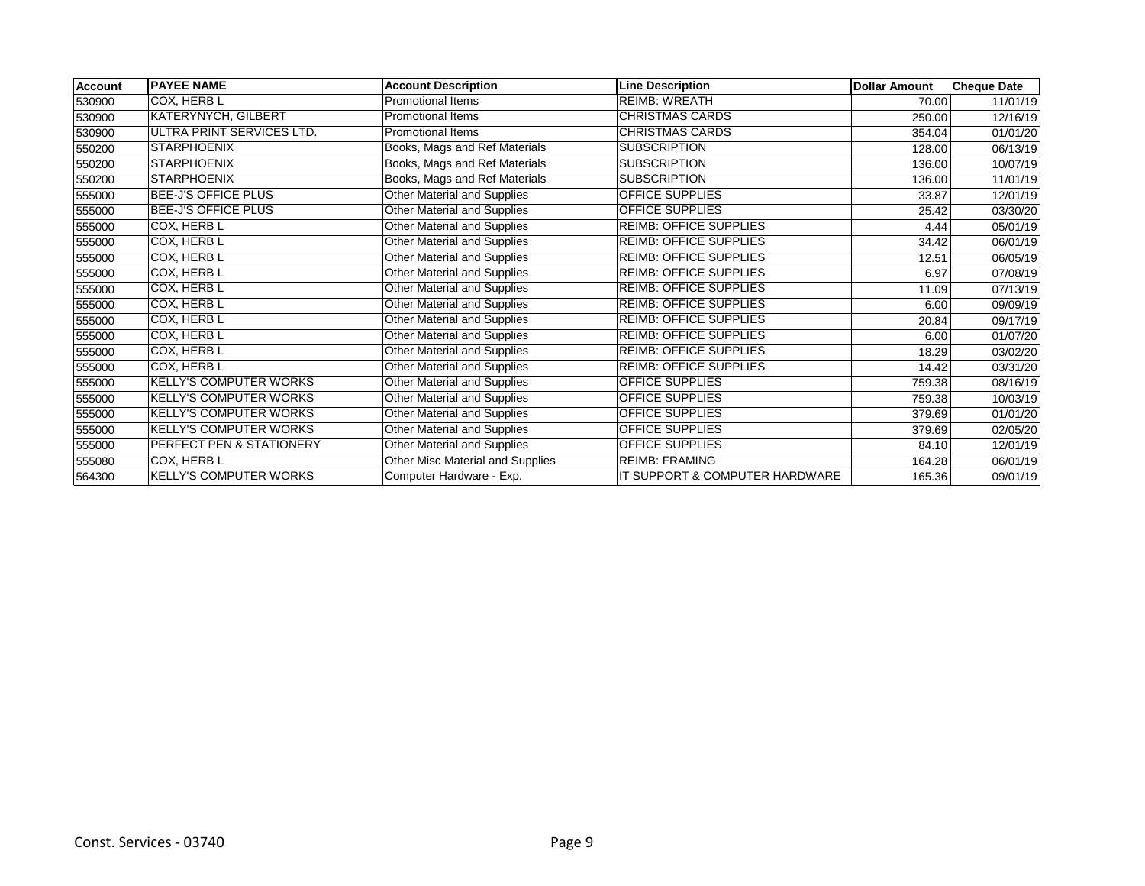| <b>Account</b> | <b>PAYEE NAME</b>             | <b>Account Description</b>         | <b>Line Description</b>        | <b>Dollar Amount</b> | <b>Cheque Date</b> |
|----------------|-------------------------------|------------------------------------|--------------------------------|----------------------|--------------------|
| 530900         | COX, HERB L                   | <b>Promotional Items</b>           | <b>REIMB: WREATH</b>           | 70.00                | 11/01/19           |
| 530900         | <b>KATERYNYCH, GILBERT</b>    | <b>Promotional Items</b>           | <b>CHRISTMAS CARDS</b>         | 250.00               | 12/16/19           |
| 530900         | ULTRA PRINT SERVICES LTD.     | Promotional Items                  | <b>CHRISTMAS CARDS</b>         | 354.04               | 01/01/20           |
| 550200         | <b>STARPHOENIX</b>            | Books, Mags and Ref Materials      | <b>SUBSCRIPTION</b>            | 128.00               | 06/13/19           |
| 550200         | <b>STARPHOENIX</b>            | Books, Mags and Ref Materials      | <b>SUBSCRIPTION</b>            | 136.00               | 10/07/19           |
| 550200         | <b>STARPHOENIX</b>            | Books, Mags and Ref Materials      | <b>SUBSCRIPTION</b>            | 136.00               | 11/01/19           |
| 555000         | BEE-J'S OFFICE PLUS           | Other Material and Supplies        | <b>OFFICE SUPPLIES</b>         | 33.87                | 12/01/19           |
| 555000         | BEE-J'S OFFICE PLUS           | <b>Other Material and Supplies</b> | <b>OFFICE SUPPLIES</b>         | 25.42                | 03/30/20           |
| 555000         | COX, HERB L                   | Other Material and Supplies        | <b>REIMB: OFFICE SUPPLIES</b>  | 4.44                 | 05/01/19           |
| 555000         | COX, HERB L                   | Other Material and Supplies        | <b>REIMB: OFFICE SUPPLIES</b>  | 34.42                | 06/01/19           |
| 555000         | COX, HERB L                   | <b>Other Material and Supplies</b> | <b>REIMB: OFFICE SUPPLIES</b>  | 12.51                | 06/05/19           |
| 555000         | COX, HERB L                   | Other Material and Supplies        | <b>REIMB: OFFICE SUPPLIES</b>  | 6.97                 | 07/08/19           |
| 555000         | COX, HERB L                   | Other Material and Supplies        | <b>REIMB: OFFICE SUPPLIES</b>  | 11.09                | 07/13/19           |
| 555000         | COX, HERB L                   | Other Material and Supplies        | <b>REIMB: OFFICE SUPPLIES</b>  | 6.00                 | 09/09/19           |
| 555000         | COX, HERB L                   | Other Material and Supplies        | <b>REIMB: OFFICE SUPPLIES</b>  | 20.84                | 09/17/19           |
| 555000         | COX, HERB L                   | Other Material and Supplies        | <b>REIMB: OFFICE SUPPLIES</b>  | 6.00                 | 01/07/20           |
| 555000         | COX, HERB L                   | Other Material and Supplies        | <b>REIMB: OFFICE SUPPLIES</b>  | 18.29                | 03/02/20           |
| 555000         | COX, HERB L                   | Other Material and Supplies        | <b>REIMB: OFFICE SUPPLIES</b>  | 14.42                | 03/31/20           |
| 555000         | <b>KELLY'S COMPUTER WORKS</b> | Other Material and Supplies        | <b>OFFICE SUPPLIES</b>         | 759.38               | 08/16/19           |
| 555000         | <b>KELLY'S COMPUTER WORKS</b> | Other Material and Supplies        | <b>OFFICE SUPPLIES</b>         | 759.38               | 10/03/19           |
| 555000         | <b>KELLY'S COMPUTER WORKS</b> | Other Material and Supplies        | OFFICE SUPPLIES                | 379.69               | 01/01/20           |
| 555000         | <b>KELLY'S COMPUTER WORKS</b> | Other Material and Supplies        | OFFICE SUPPLIES                | 379.69               | 02/05/20           |
| 555000         | PERFECT PEN & STATIONERY      | Other Material and Supplies        | <b>OFFICE SUPPLIES</b>         | 84.10                | 12/01/19           |
| 555080         | COX, HERB L                   | Other Misc Material and Supplies   | <b>REIMB: FRAMING</b>          | 164.28               | 06/01/19           |
| 564300         | <b>KELLY'S COMPUTER WORKS</b> | Computer Hardware - Exp.           | IT SUPPORT & COMPUTER HARDWARE | 165.36               | 09/01/19           |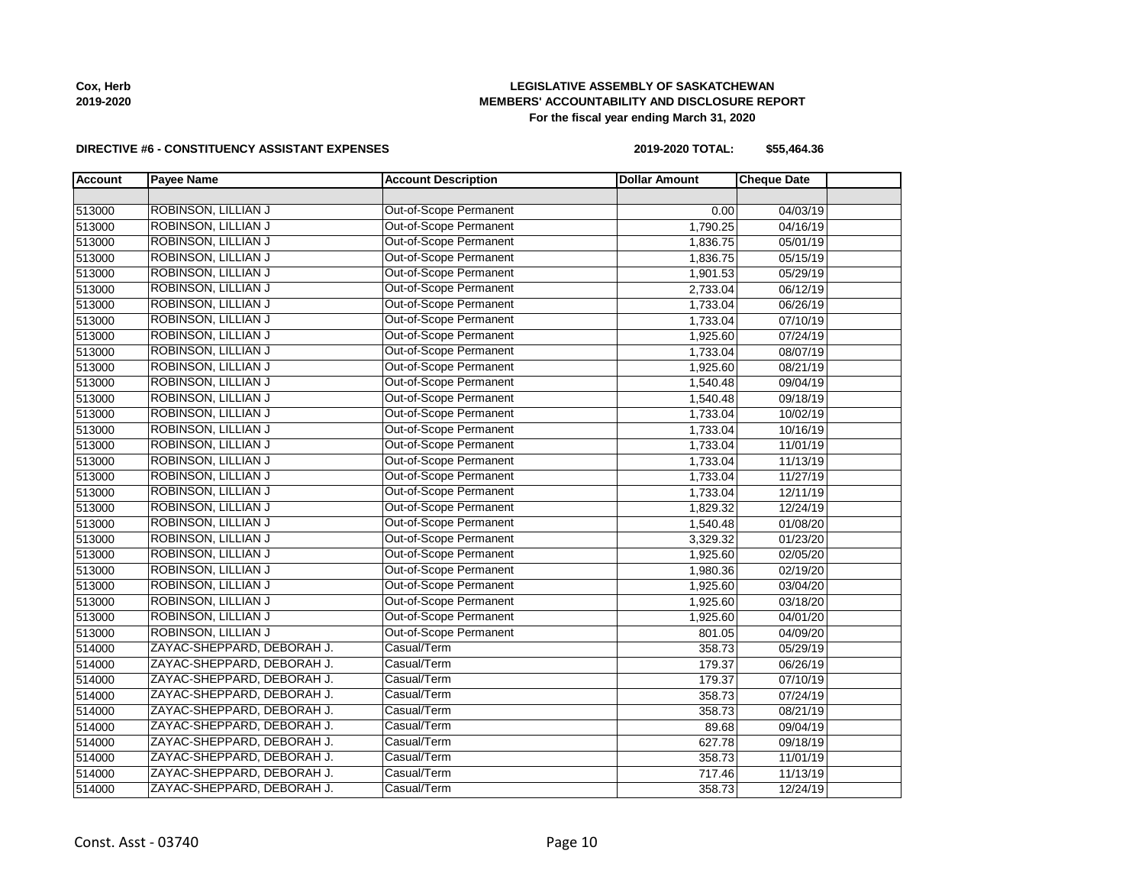| 513000 | ROBINSON, LILLIAN J        | Out-of-Scope Permanent | 0.00     | 04/03/19 |  |
|--------|----------------------------|------------------------|----------|----------|--|
| 513000 | ROBINSON, LILLIAN J        | Out-of-Scope Permanent | 1,790.25 | 04/16/19 |  |
| 513000 | ROBINSON, LILLIAN J        | Out-of-Scope Permanent | 1,836.75 | 05/01/19 |  |
| 513000 | ROBINSON, LILLIAN J        | Out-of-Scope Permanent | 1,836.75 | 05/15/19 |  |
| 513000 | ROBINSON, LILLIAN J        | Out-of-Scope Permanent | 1,901.53 | 05/29/19 |  |
| 513000 | ROBINSON, LILLIAN J        | Out-of-Scope Permanent | 2,733.04 | 06/12/19 |  |
| 513000 | ROBINSON, LILLIAN J        | Out-of-Scope Permanent | 1,733.04 | 06/26/19 |  |
| 513000 | ROBINSON, LILLIAN J        | Out-of-Scope Permanent | 1,733.04 | 07/10/19 |  |
| 513000 | ROBINSON, LILLIAN J        | Out-of-Scope Permanent | 1,925.60 | 07/24/19 |  |
| 513000 | ROBINSON, LILLIAN J        | Out-of-Scope Permanent | 1,733.04 | 08/07/19 |  |
| 513000 | ROBINSON, LILLIAN J        | Out-of-Scope Permanent | 1,925.60 | 08/21/19 |  |
| 513000 | ROBINSON, LILLIAN J        | Out-of-Scope Permanent | 1,540.48 | 09/04/19 |  |
| 513000 | ROBINSON, LILLIAN J        | Out-of-Scope Permanent | 1,540.48 | 09/18/19 |  |
| 513000 | ROBINSON, LILLIAN J        | Out-of-Scope Permanent | 1,733.04 | 10/02/19 |  |
| 513000 | ROBINSON, LILLIAN J        | Out-of-Scope Permanent | 1,733.04 | 10/16/19 |  |
| 513000 | ROBINSON, LILLIAN J        | Out-of-Scope Permanent | 1,733.04 | 11/01/19 |  |
| 513000 | ROBINSON, LILLIAN J        | Out-of-Scope Permanent | 1,733.04 | 11/13/19 |  |
| 513000 | ROBINSON, LILLIAN J        | Out-of-Scope Permanent | 1,733.04 | 11/27/19 |  |
| 513000 | ROBINSON, LILLIAN J        | Out-of-Scope Permanent | 1,733.04 | 12/11/19 |  |
| 513000 | ROBINSON, LILLIAN J        | Out-of-Scope Permanent | 1,829.32 | 12/24/19 |  |
| 513000 | <b>ROBINSON, LILLIAN J</b> | Out-of-Scope Permanent | 1,540.48 | 01/08/20 |  |
| 513000 | ROBINSON, LILLIAN J        | Out-of-Scope Permanent | 3,329.32 | 01/23/20 |  |
| 513000 | ROBINSON, LILLIAN J        | Out-of-Scope Permanent | 1,925.60 | 02/05/20 |  |
| 513000 | ROBINSON, LILLIAN J        | Out-of-Scope Permanent | 1,980.36 | 02/19/20 |  |
| 513000 | ROBINSON, LILLIAN J        | Out-of-Scope Permanent | 1,925.60 | 03/04/20 |  |
| 513000 | ROBINSON, LILLIAN J        | Out-of-Scope Permanent | 1,925.60 | 03/18/20 |  |
| 513000 | ROBINSON, LILLIAN J        | Out-of-Scope Permanent | 1,925.60 | 04/01/20 |  |
| 513000 | ROBINSON, LILLIAN J        | Out-of-Scope Permanent | 801.05   | 04/09/20 |  |
| 514000 | ZAYAC-SHEPPARD, DEBORAH J. | Casual/Term            | 358.73   | 05/29/19 |  |
| 514000 | ZAYAC-SHEPPARD, DEBORAH J. | Casual/Term            | 179.37   | 06/26/19 |  |
| 514000 | ZAYAC-SHEPPARD, DEBORAH J. | Casual/Term            | 179.37   | 07/10/19 |  |
| 514000 | ZAYAC-SHEPPARD, DEBORAH J. | Casual/Term            | 358.73   | 07/24/19 |  |
| 514000 | ZAYAC-SHEPPARD, DEBORAH J. | Casual/Term            | 358.73   | 08/21/19 |  |
| 514000 | ZAYAC-SHEPPARD, DEBORAH J. | Casual/Term            | 89.68    | 09/04/19 |  |
| 514000 | ZAYAC-SHEPPARD, DEBORAH J. | Casual/Term            | 627.78   | 09/18/19 |  |
| 514000 | ZAYAC-SHEPPARD, DEBORAH J. | Casual/Term            | 358.73   | 11/01/19 |  |
| 514000 | ZAYAC-SHEPPARD, DEBORAH J. | Casual/Term            | 717.46   | 11/13/19 |  |

ZAYAC-SHEPPARD, DEBORAH J. Casual/Term 358.73 12/24/19

**Account Payee Name Account Description Dollar Amount Cheque Date** 

#### **DIRECTIVE #6 - CONSTITUENCY ASSISTANT EXPENSES**

#### **LEGISLATIVE ASSEMBLY OF SASKATCHEWAN MEMBERS' ACCOUNTABILITY AND DISCLOSURE REPORT For the fiscal year ending March 31, 2020**

**Cox, Herb 2019-2020**

**2019-2020 TOTAL: \$55,464.36**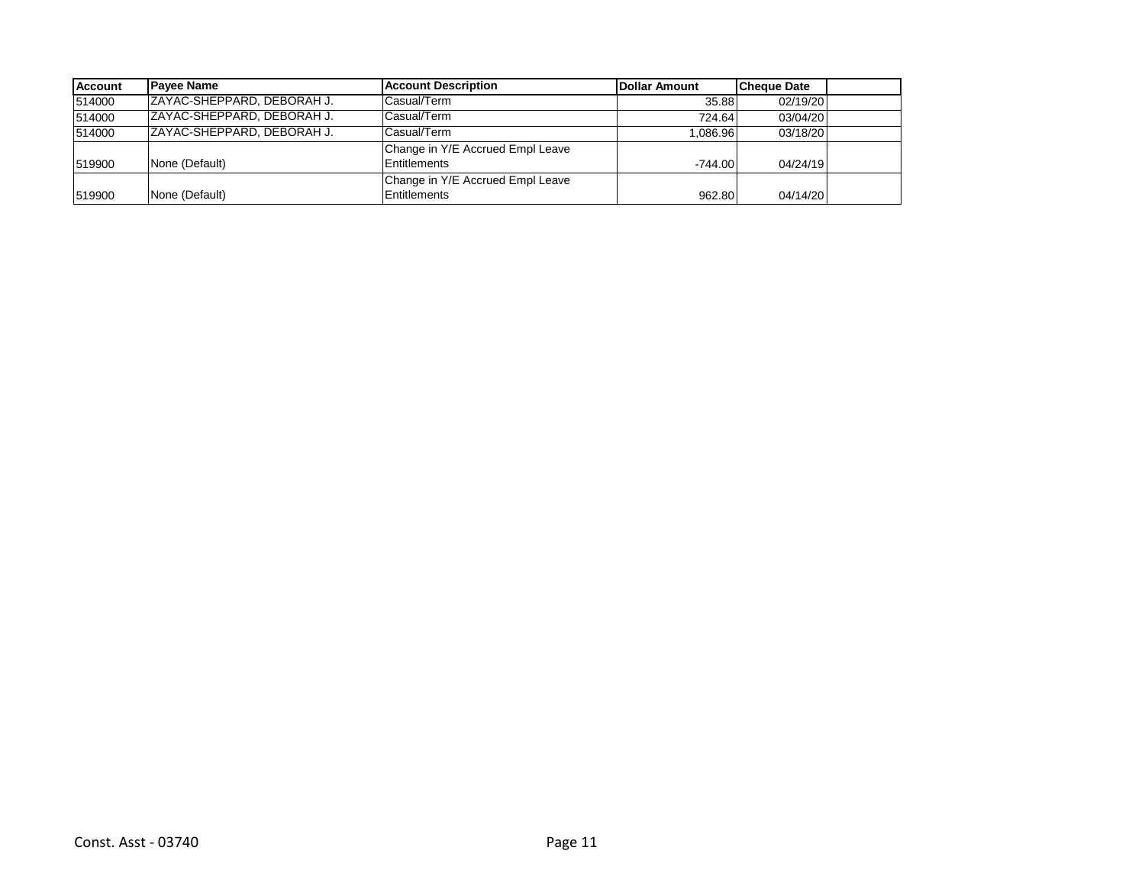| <b>Account</b> | <b>Pavee Name</b>           | <b>Account Description</b>       | <b>IDollar Amount</b> | <b>Cheque Date</b> |  |
|----------------|-----------------------------|----------------------------------|-----------------------|--------------------|--|
| 514000         | IZAYAC-SHEPPARD. DEBORAH J. | Casual/Term                      | 35.88                 | 02/19/20           |  |
| 514000         | ZAYAC-SHEPPARD, DEBORAH J.  | Casual/Term                      | 724.64                | 03/04/20           |  |
| 514000         | IZAYAC-SHEPPARD. DEBORAH J. | Casual/Term                      | 1.086.96              | 03/18/20           |  |
|                |                             | Change in Y/E Accrued Empl Leave |                       |                    |  |
| 519900         | None (Default)              | Entitlements                     | $-744.00$             | 04/24/19           |  |
|                |                             | Change in Y/E Accrued Empl Leave |                       |                    |  |
| 519900         | None (Default)              | <b>Entitlements</b>              | 962.80                | 04/14/20           |  |